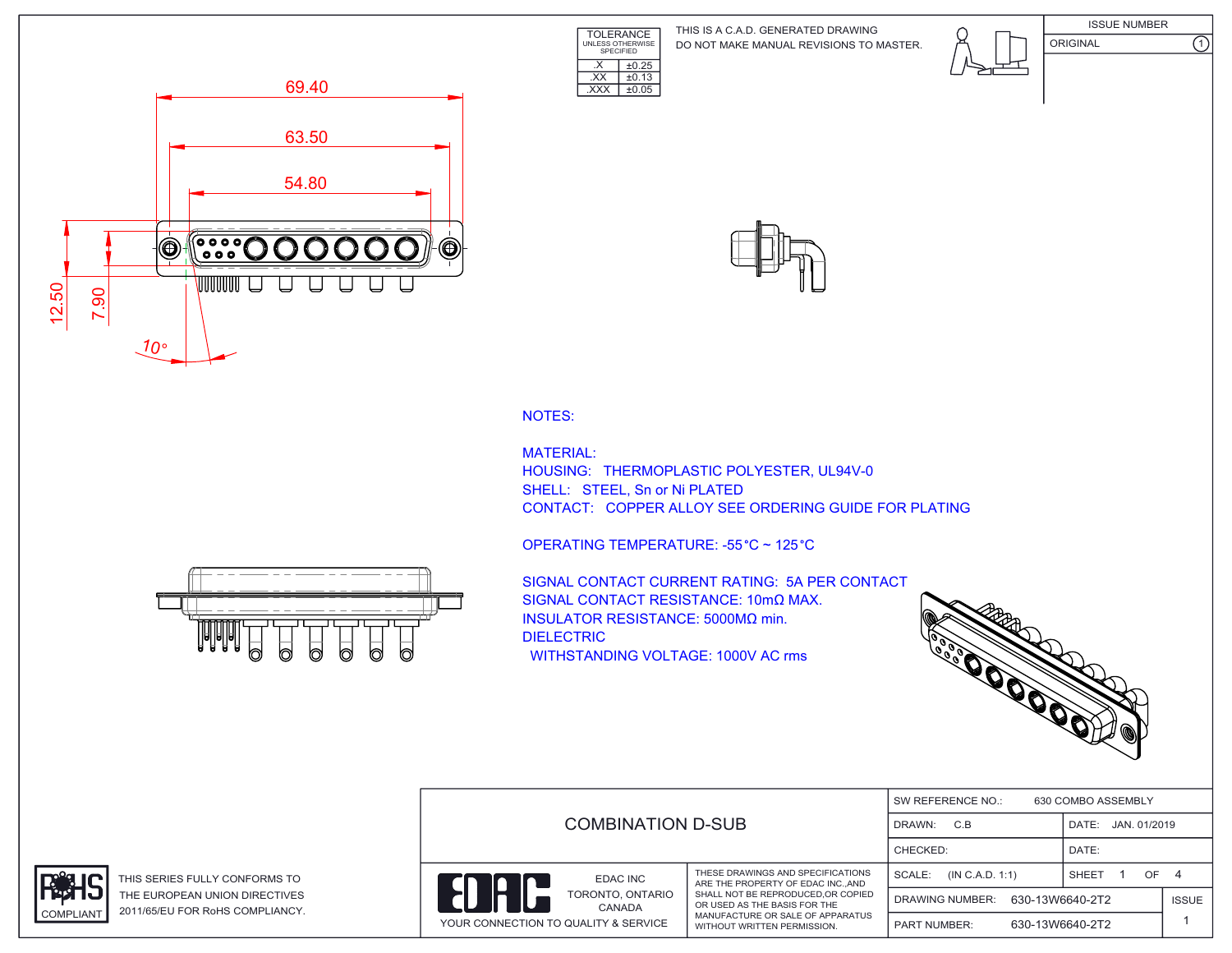TOLERANCE UNLESS OTHERWISE SPECIFIED DO NOT MAKE MANUAL REVISIONS TO MASTER. THIS IS A C.A.D. GENERATED DRAWING









NOTES:

MATERIAL: HOUSING: THERMOPLASTIC POLYESTER, UL94V-0 SHELL: STEEL, Sn or Ni PLATED CONTACT: COPPER ALLOY SEE ORDERING GUIDE FOR PLATING



 $\overline{\text{EXX}}$   $\pm 0.13$ .XXX ±0.05

 $\overline{\text{X}}$   $\pm 0.25$ 

**IAIAIA** 

SIGNAL CONTACT CURRENT RATING: 5A PER CONTACT SIGNAL CONTACT RESISTANCE: 10mΩ MAX. INSULATOR RESISTANCE: 5000MΩ min. DIELECTRIC WITHSTANDING VOLTAGE: 1000V AC rms



|                                                                    |                                                                                                                                      |                                           |                    | SW REFERENCE NO.:<br>630 COMBO ASSEMBLY |  |  |  |  |
|--------------------------------------------------------------------|--------------------------------------------------------------------------------------------------------------------------------------|-------------------------------------------|--------------------|-----------------------------------------|--|--|--|--|
|                                                                    | <b>COMBINATION D-SUB</b>                                                                                                             |                                           | DATE: JAN. 01/2019 |                                         |  |  |  |  |
|                                                                    |                                                                                                                                      |                                           | DATE:              |                                         |  |  |  |  |
| EDAC INC                                                           | THESE DRAWINGS AND SPECIFICATIONS<br>ARE THE PROPERTY OF EDAC INCAND                                                                 | SCALE:<br>(IN C.A.D. 1:1)                 | OF.<br>SHEET       | -4                                      |  |  |  |  |
| TORONTO, ONTARIO<br>CANADA<br>YOUR CONNECTION TO QUALITY & SERVICE | SHALL NOT BE REPRODUCED.OR COPIED<br>OR USED AS THE BASIS FOR THE<br>MANUFACTURE OR SALE OF APPARATUS<br>WITHOUT WRITTEN PERMISSION. | 630-13W6640-2T2<br><b>DRAWING NUMBER:</b> |                    | <b>ISSUE</b>                            |  |  |  |  |
|                                                                    |                                                                                                                                      | 630-13W6640-2T2<br><b>PART NUMBER:</b>    |                    |                                         |  |  |  |  |



THIS SERIES FULLY CONFORMS TO THE EUROPEAN UNION DIRECTIVES COMPLIANT 2011/65/EU FOR RoHS COMPLIANCY.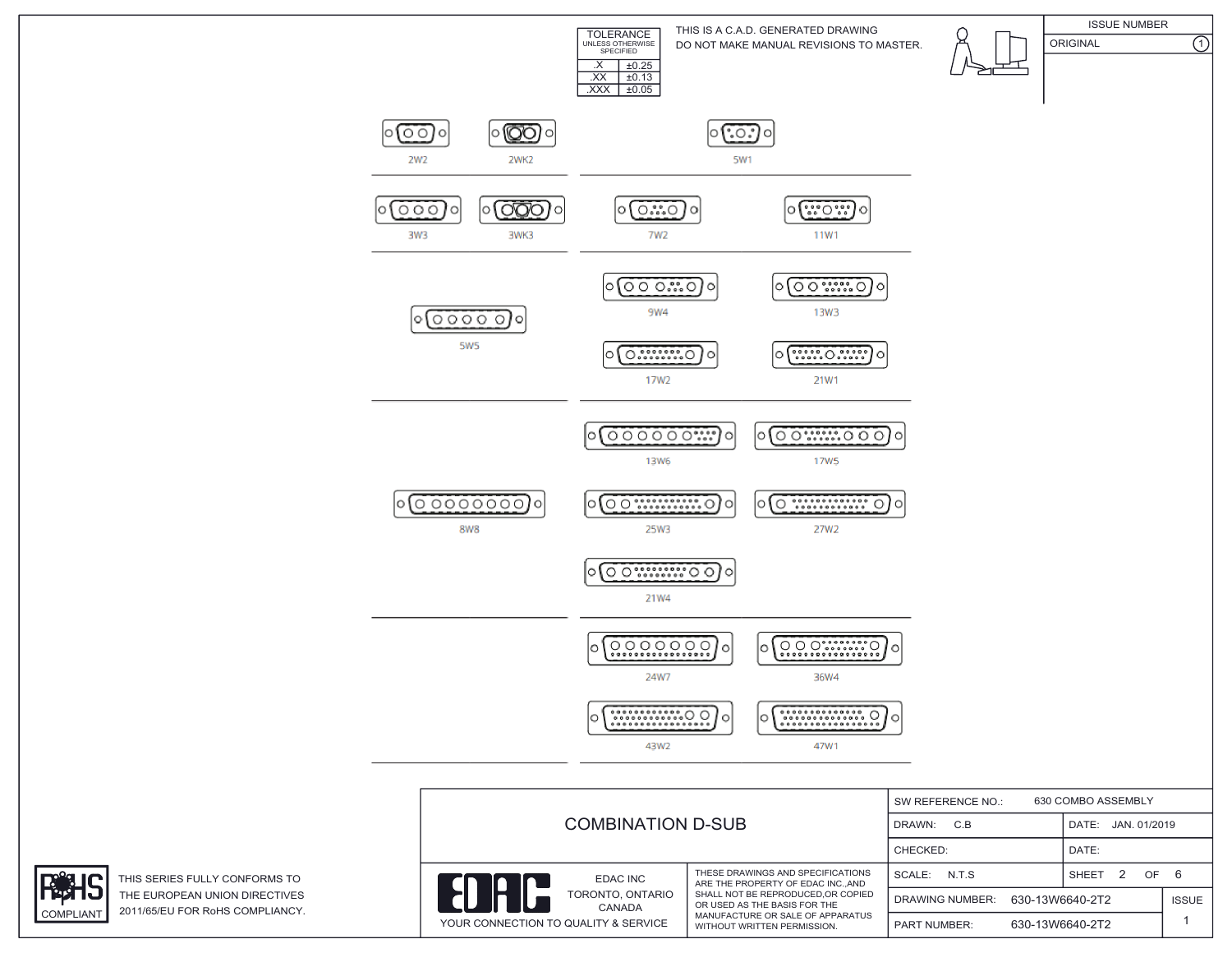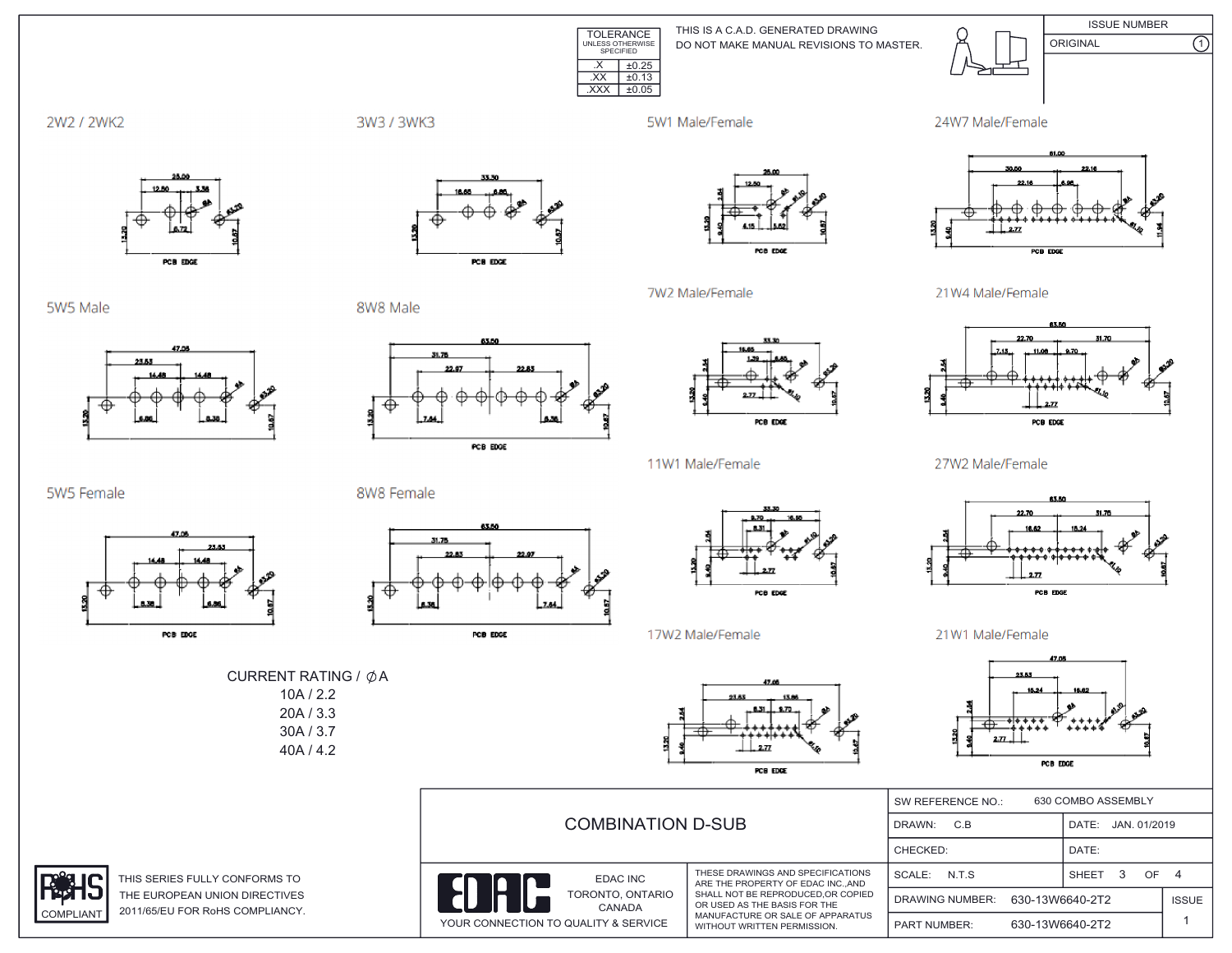

THIS IS A C.A.D. GENERATED DRAWING DO NOT MAKE MANUAL REVISIONS TO MASTER.



2W2 / 2WK2

3W3 / 3WK3

5W1 Male/Female

7W2 Male/Female



21W4 Male/Female



**ISSUE NUMBER** 

 $\overline{\Omega}$ 

5W5 Male



PCB EDGE

8W8 Male



PCB EDGE



PCB EDGE

POB EDGE





27W2 Male/Female



21W1 Male/Female



|                                           | <b>COMBINATION D-SUB</b>                                                                      |                                                                                                                                                                                                              | 630 COMBO ASSEMBLY<br>SW REFERENCE NO.:   |                 |                    |  |
|-------------------------------------------|-----------------------------------------------------------------------------------------------|--------------------------------------------------------------------------------------------------------------------------------------------------------------------------------------------------------------|-------------------------------------------|-----------------|--------------------|--|
|                                           |                                                                                               |                                                                                                                                                                                                              | C.B<br>DRAWN:                             |                 | DATE: JAN. 01/2019 |  |
|                                           |                                                                                               |                                                                                                                                                                                                              | CHECKED:                                  |                 | DATE:              |  |
| <b>RMS TO</b><br><b>CTIVES</b><br>LIANCY. | EDAC INC<br>$\parallel$<br>TORONTO, ONTARIO<br>CANADA<br>YOUR CONNECTION TO QUALITY & SERVICE | THESE DRAWINGS AND SPECIFICATIONS<br>ARE THE PROPERTY OF EDAC INCAND<br>SHALL NOT BE REPRODUCED.OR COPIED<br>OR USED AS THE BASIS FOR THE<br>MANUFACTURE OR SALE OF APPARATUS<br>WITHOUT WRITTEN PERMISSION. | SCALE: N.T.S.                             |                 | OF<br>SHEET        |  |
|                                           |                                                                                               |                                                                                                                                                                                                              | 630-13W6640-2T2<br><b>DRAWING NUMBER:</b> |                 | <b>ISSUE</b>       |  |
|                                           |                                                                                               |                                                                                                                                                                                                              | <b>PART NUMBER:</b>                       | 630-13W6640-2T2 |                    |  |

5W5 Female

COMPLIANT









11W1 Male/Female





THIS SERIES FULLY CONFOR THE EUROPEAN UNION DIRE 2011/65/EU FOR RoHS COMP